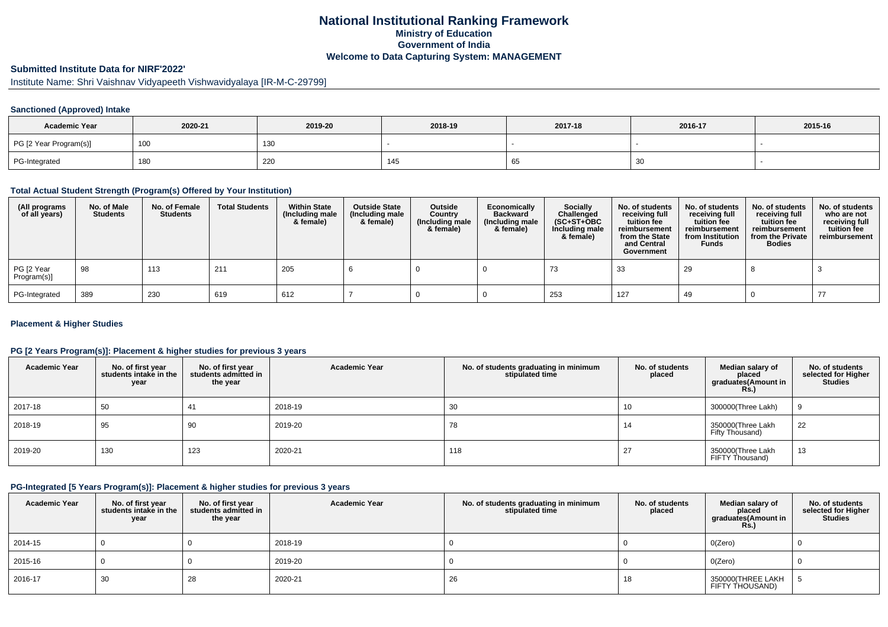# **National Institutional Ranking FrameworkMinistry of Education Government of IndiaWelcome to Data Capturing System: MANAGEMENT**

# **Submitted Institute Data for NIRF'2022'**

Institute Name: Shri Vaishnav Vidyapeeth Vishwavidyalaya [IR-M-C-29799]

#### **Sanctioned (Approved) Intake**

| <b>Academic Year</b>   | 2020-21 | 2019-20 | 2018-19 | 2017-18 | 2016-17 | 2015-16 |
|------------------------|---------|---------|---------|---------|---------|---------|
| PG [2 Year Program(s)] | 100     | 130     |         |         |         |         |
| PG-Integrated          | 180     | 220     | ن14     | ັບບ     | 30      |         |

#### **Total Actual Student Strength (Program(s) Offered by Your Institution)**

| (All programs<br>of all years) | No. of Male<br><b>Students</b> | No. of Female<br>Students | <b>Total Students</b> | <b>Within State</b><br>(Including male<br>& female) | <b>Outside State</b><br>(Including male<br>& female) | Outside<br>Country<br>(Including male<br>& female) | Economically<br><b>Backward</b><br>(Including male<br>& female) | Socially<br>Challenged<br>$(SC+ST+OBC)$<br>Including male<br>& female) | No. of students<br>receiving full<br>tuition fee<br>reimbursement<br>from the State<br>and Central<br>Government | No. of students<br>receiving full<br>tuition fee<br>reimbursement<br>from Institution<br><b>Funds</b> | No. of students<br>receiving full<br>tuition fee<br>reimbursement<br>from the Private<br><b>Bodies</b> | No. of students<br>who are not<br>receiving full<br>tuition fee<br>reimbursement |
|--------------------------------|--------------------------------|---------------------------|-----------------------|-----------------------------------------------------|------------------------------------------------------|----------------------------------------------------|-----------------------------------------------------------------|------------------------------------------------------------------------|------------------------------------------------------------------------------------------------------------------|-------------------------------------------------------------------------------------------------------|--------------------------------------------------------------------------------------------------------|----------------------------------------------------------------------------------|
| PG [2 Year<br>Program(s)]      | 98                             | 113                       | 211                   | 205                                                 |                                                      |                                                    |                                                                 | 73                                                                     | 33                                                                                                               | 29                                                                                                    |                                                                                                        |                                                                                  |
| PG-Integrated                  | 389                            | 230                       | 619                   | 612                                                 |                                                      |                                                    |                                                                 | 253                                                                    | 127                                                                                                              | 49                                                                                                    |                                                                                                        | -77                                                                              |

#### **Placement & Higher Studies**

#### **PG [2 Years Program(s)]: Placement & higher studies for previous 3 years**

| <b>Academic Year</b> | No. of first year<br>students intake in the<br>year | No. of first year<br>students admitted in<br>the year | <b>Academic Year</b> | No. of students graduating in minimum<br>stipulated time | No. of students<br>placed | Median salary of<br>placed<br>graduates(Amount in<br>R <sub>S</sub> | No. of students<br>selected for Higher<br><b>Studies</b> |
|----------------------|-----------------------------------------------------|-------------------------------------------------------|----------------------|----------------------------------------------------------|---------------------------|---------------------------------------------------------------------|----------------------------------------------------------|
| 2017-18              | 50                                                  | 41                                                    | 2018-19              | 30                                                       | 10                        | 300000(Three Lakh)                                                  | a                                                        |
| 2018-19              | 95                                                  | 90                                                    | 2019-20              | 78                                                       | 14                        | 350000(Three Lakh<br>Fifty Thousand)                                | 22                                                       |
| 2019-20              | 130                                                 | 123                                                   | 2020-21              | 118                                                      | 27                        | 350000(Three Lakh<br>FIFTY Thousand)                                | 13                                                       |

#### **PG-Integrated [5 Years Program(s)]: Placement & higher studies for previous 3 years**

| <b>Academic Year</b> | No. of first year<br>students intake in the<br>year | No. of first year<br>students admitted in<br>the year | <b>Academic Year</b> | No. of students graduating in minimum<br>stipulated time | No. of students<br>placed | Median salary of<br>placed<br>graduates(Amount in<br><b>Rs.)</b> | No. of students<br>selected for Higher<br><b>Studies</b> |
|----------------------|-----------------------------------------------------|-------------------------------------------------------|----------------------|----------------------------------------------------------|---------------------------|------------------------------------------------------------------|----------------------------------------------------------|
| 2014-15              |                                                     |                                                       | 2018-19              |                                                          |                           | O(Zero)                                                          |                                                          |
| 2015-16              |                                                     |                                                       | 2019-20              |                                                          |                           | O(Zero)                                                          |                                                          |
| 2016-17              | 30                                                  | 28                                                    | 2020-21              | 26                                                       | 18                        | 350000(THREE LAKH<br>FIFTY THOUSAND)                             |                                                          |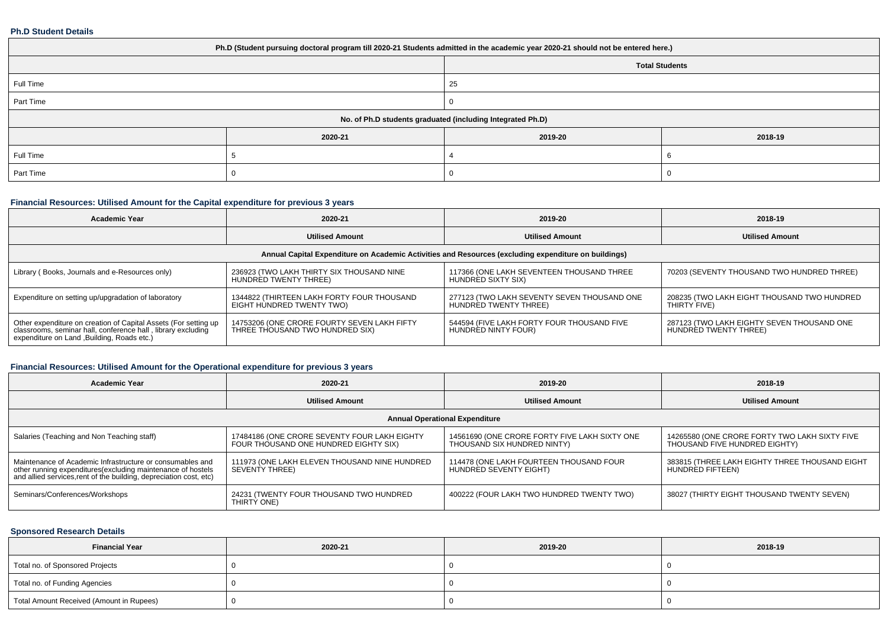#### **Ph.D Student Details**

| Ph.D (Student pursuing doctoral program till 2020-21 Students admitted in the academic year 2020-21 should not be entered here.) |         |                       |         |  |  |
|----------------------------------------------------------------------------------------------------------------------------------|---------|-----------------------|---------|--|--|
|                                                                                                                                  |         | <b>Total Students</b> |         |  |  |
| Full Time                                                                                                                        |         | 25                    |         |  |  |
| Part Time                                                                                                                        |         |                       |         |  |  |
| No. of Ph.D students graduated (including Integrated Ph.D)                                                                       |         |                       |         |  |  |
|                                                                                                                                  | 2020-21 | 2019-20               | 2018-19 |  |  |
| Full Time                                                                                                                        |         |                       |         |  |  |
| Part Time                                                                                                                        |         |                       |         |  |  |

## **Financial Resources: Utilised Amount for the Capital expenditure for previous 3 years**

| <b>Academic Year</b>                                                                                                                                                        | 2020-21                                                                        | 2019-20                                                              | 2018-19                                                             |  |  |
|-----------------------------------------------------------------------------------------------------------------------------------------------------------------------------|--------------------------------------------------------------------------------|----------------------------------------------------------------------|---------------------------------------------------------------------|--|--|
|                                                                                                                                                                             | <b>Utilised Amount</b>                                                         | <b>Utilised Amount</b>                                               | <b>Utilised Amount</b>                                              |  |  |
| Annual Capital Expenditure on Academic Activities and Resources (excluding expenditure on buildings)                                                                        |                                                                                |                                                                      |                                                                     |  |  |
| Library (Books, Journals and e-Resources only)                                                                                                                              | 236923 (TWO LAKH THIRTY SIX THOUSAND NINE<br>HUNDRED TWENTY THREE)             | 117366 (ONE LAKH SEVENTEEN THOUSAND THREE<br>HUNDRED SIXTY SIX)      | 70203 (SEVENTY THOUSAND TWO HUNDRED THREE)                          |  |  |
| Expenditure on setting up/upgradation of laboratory                                                                                                                         | 1344822 (THIRTEEN LAKH FORTY FOUR THOUSAND<br>EIGHT HUNDRED TWENTY TWO)        | 277123 (TWO LAKH SEVENTY SEVEN THOUSAND ONE<br>HUNDRED TWENTY THREE) | 208235 (TWO LAKH EIGHT THOUSAND TWO HUNDRED<br>THIRTY FIVE)         |  |  |
| Other expenditure on creation of Capital Assets (For setting up classrooms, seminar hall, conference hall, library excluding<br>expenditure on Land , Building, Roads etc.) | 14753206 (ONE CRORE FOURTY SEVEN LAKH FIFTY<br>THREE THOUSAND TWO HUNDRED SIX) | 544594 (FIVE LAKH FORTY FOUR THOUSAND FIVE<br>HUNDRED NINTY FOUR)    | 287123 (TWO LAKH EIGHTY SEVEN THOUSAND ONE<br>HUNDRED TWENTY THREE) |  |  |

## **Financial Resources: Utilised Amount for the Operational expenditure for previous 3 years**

| <b>Academic Year</b>                                                                                                                                                                            | 2020-21                                                                               | 2019-20                                                                      | 2018-19                                                                        |  |  |
|-------------------------------------------------------------------------------------------------------------------------------------------------------------------------------------------------|---------------------------------------------------------------------------------------|------------------------------------------------------------------------------|--------------------------------------------------------------------------------|--|--|
|                                                                                                                                                                                                 | <b>Utilised Amount</b>                                                                | <b>Utilised Amount</b>                                                       | <b>Utilised Amount</b>                                                         |  |  |
| <b>Annual Operational Expenditure</b>                                                                                                                                                           |                                                                                       |                                                                              |                                                                                |  |  |
| Salaries (Teaching and Non Teaching staff)                                                                                                                                                      | 17484186 (ONE CRORE SEVENTY FOUR LAKH EIGHTY<br>FOUR THOUSAND ONE HUNDRED EIGHTY SIX) | 14561690 (ONE CRORE FORTY FIVE LAKH SIXTY ONE<br>THOUSAND SIX HUNDRED NINTY) | 14265580 (ONE CRORE FORTY TWO LAKH SIXTY FIVE<br>THOUSAND FIVE HUNDRED EIGHTY) |  |  |
| Maintenance of Academic Infrastructure or consumables and<br>other running expenditures (excluding maintenance of hostels<br>and allied services, rent of the building, depreciation cost, etc) | 111973 (ONE LAKH ELEVEN THOUSAND NINE HUNDRED<br>SEVENTY THREE)                       | 114478 (ONE LAKH FOURTEEN THOUSAND FOUR<br>HUNDRED SEVENTY EIGHT)            | 383815 (THREE LAKH EIGHTY THREE THOUSAND EIGHT<br>HUNDRED FIFTEEN)             |  |  |
| Seminars/Conferences/Workshops                                                                                                                                                                  | 24231 (TWENTY FOUR THOUSAND TWO HUNDRED<br>THIRTY ONE)                                | 400222 (FOUR LAKH TWO HUNDRED TWENTY TWO)                                    | 38027 (THIRTY EIGHT THOUSAND TWENTY SEVEN)                                     |  |  |

## **Sponsored Research Details**

| <b>Financial Year</b>                    | 2020-21 | 2019-20 | 2018-19 |
|------------------------------------------|---------|---------|---------|
| Total no. of Sponsored Projects          |         |         |         |
| Total no. of Funding Agencies            |         |         |         |
| Total Amount Received (Amount in Rupees) |         |         |         |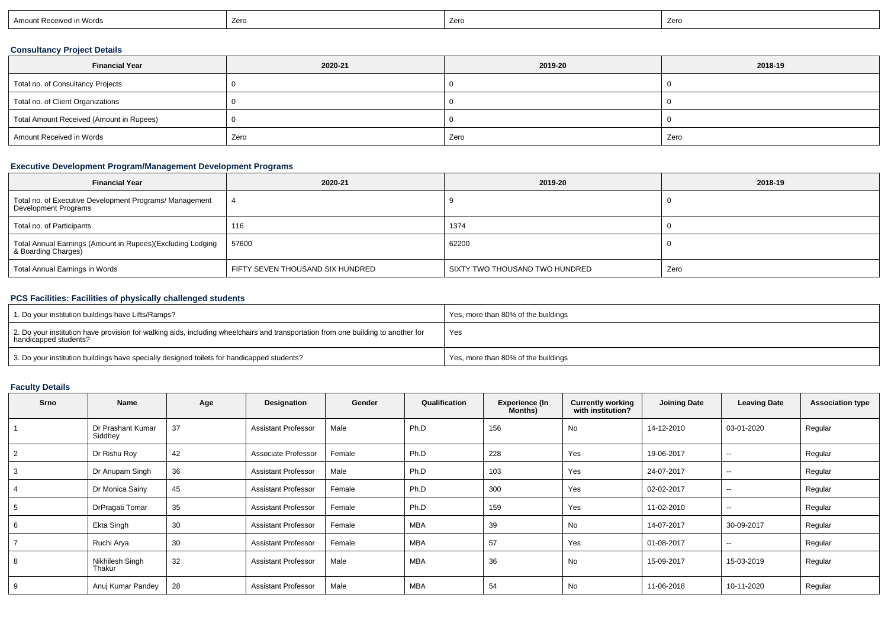| Amount Received in Words | Zerc | Zero | Zero |
|--------------------------|------|------|------|
|--------------------------|------|------|------|

## **Consultancy Project Details**

| <b>Financial Year</b>                    | 2020-21 | 2019-20 | 2018-19 |
|------------------------------------------|---------|---------|---------|
| Total no. of Consultancy Projects        |         |         |         |
| Total no. of Client Organizations        |         |         |         |
| Total Amount Received (Amount in Rupees) |         |         |         |
| Amount Received in Words                 | Zero    | Zero    | Zero    |

## **Executive Development Program/Management Development Programs**

| <b>Financial Year</b>                                                             | 2020-21                          | 2019-20                        | 2018-19 |
|-----------------------------------------------------------------------------------|----------------------------------|--------------------------------|---------|
| Total no. of Executive Development Programs/ Management<br>Development Programs   |                                  |                                |         |
| Total no. of Participants                                                         | 116                              | 1374                           |         |
| Total Annual Earnings (Amount in Rupees)(Excluding Lodging<br>& Boarding Charges) | 57600                            | 62200                          |         |
| Total Annual Earnings in Words                                                    | FIFTY SEVEN THOUSAND SIX HUNDRED | SIXTY TWO THOUSAND TWO HUNDRED | Zero    |

## **PCS Facilities: Facilities of physically challenged students**

| 1. Do your institution buildings have Lifts/Ramps?                                                                                                         | Yes, more than 80% of the buildings |
|------------------------------------------------------------------------------------------------------------------------------------------------------------|-------------------------------------|
| 2. Do your institution have provision for walking aids, including wheelchairs and transportation from one building to another for<br>handicapped students? | Yes                                 |
| 3. Do your institution buildings have specially designed toilets for handicapped students?                                                                 | Yes, more than 80% of the buildings |

#### **Faculty Details**

| <b>Srno</b>    | Name                         | Age | Designation                | Gender | Qualification | <b>Experience (In</b><br>Months) | <b>Currently working</b><br>with institution? | <b>Joining Date</b> | <b>Leaving Date</b>      | <b>Association type</b> |
|----------------|------------------------------|-----|----------------------------|--------|---------------|----------------------------------|-----------------------------------------------|---------------------|--------------------------|-------------------------|
|                | Dr Prashant Kumar<br>Siddhey | 37  | <b>Assistant Professor</b> | Male   | Ph.D          | 156                              | No                                            | 14-12-2010          | 03-01-2020               | Regular                 |
| $\overline{2}$ | Dr Rishu Roy                 | 42  | Associate Professor        | Female | Ph.D          | 228                              | Yes                                           | 19-06-2017          | $\overline{\phantom{a}}$ | Regular                 |
| 3              | Dr Anupam Singh              | 36  | <b>Assistant Professor</b> | Male   | Ph.D          | 103                              | Yes                                           | 24-07-2017          | $\overline{\phantom{a}}$ | Regular                 |
|                | Dr Monica Sainy              | 45  | <b>Assistant Professor</b> | Female | Ph.D          | 300                              | Yes                                           | 02-02-2017          | $\sim$                   | Regular                 |
| 5              | DrPragati Tomar              | 35  | <b>Assistant Professor</b> | Female | Ph.D          | 159                              | Yes                                           | 11-02-2010          | $\overline{\phantom{a}}$ | Regular                 |
| 6              | Ekta Singh                   | 30  | <b>Assistant Professor</b> | Female | MBA           | 39                               | No                                            | 14-07-2017          | 30-09-2017               | Regular                 |
|                | Ruchi Arya                   | 30  | <b>Assistant Professor</b> | Female | MBA           | 57                               | Yes                                           | 01-08-2017          | $\sim$                   | Regular                 |
| 8              | Nikhilesh Singh<br>Thakur    | 32  | <b>Assistant Professor</b> | Male   | <b>MBA</b>    | 36                               | No                                            | 15-09-2017          | 15-03-2019               | Regular                 |
| 9              | Anuj Kumar Pandey            | 28  | <b>Assistant Professor</b> | Male   | <b>MBA</b>    | 54                               | No                                            | 11-06-2018          | 10-11-2020               | Regular                 |